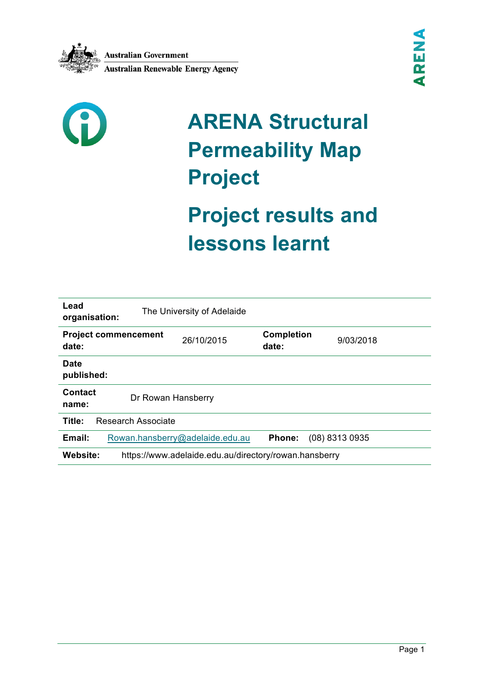



# **ARENA Structural Permeability Map Project**

# **Project results and lessons learnt**

| Lead<br>organisation:                | The University of Adelaide                            |                            |                |  |
|--------------------------------------|-------------------------------------------------------|----------------------------|----------------|--|
| <b>Project commencement</b><br>date: | 26/10/2015                                            | <b>Completion</b><br>date: | 9/03/2018      |  |
| <b>Date</b><br>published:            |                                                       |                            |                |  |
| Contact<br>name:                     | Dr Rowan Hansberry                                    |                            |                |  |
| Title:<br><b>Research Associate</b>  |                                                       |                            |                |  |
| Email:                               | Rowan.hansberry@adelaide.edu.au                       | <b>Phone:</b>              | (08) 8313 0935 |  |
| Website:                             | https://www.adelaide.edu.au/directory/rowan.hansberry |                            |                |  |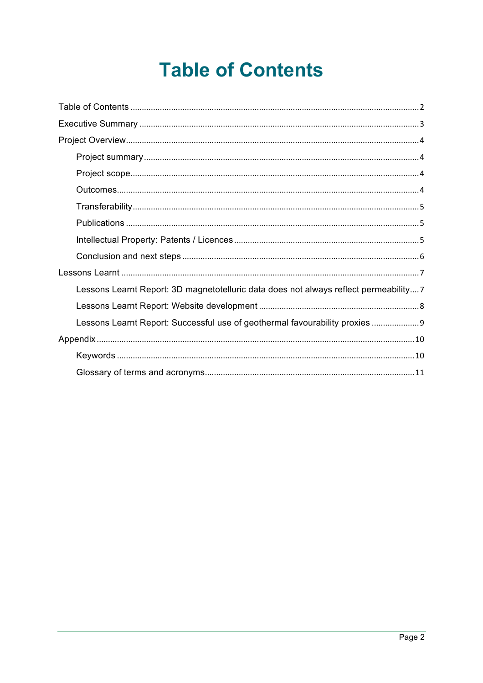## **Table of Contents**

| Lessons Learnt Report: 3D magnetotelluric data does not always reflect permeability7 |
|--------------------------------------------------------------------------------------|
|                                                                                      |
| Lessons Learnt Report: Successful use of geothermal favourability proxies            |
|                                                                                      |
|                                                                                      |
|                                                                                      |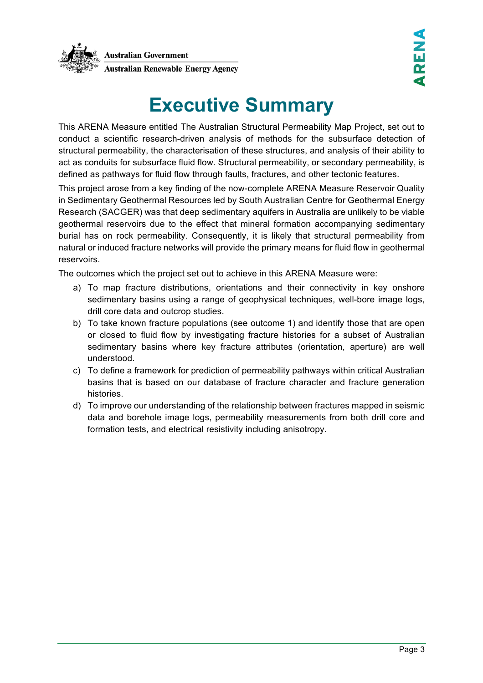

## **Executive Summary**

This ARENA Measure entitled The Australian Structural Permeability Map Project, set out to conduct a scientific research-driven analysis of methods for the subsurface detection of structural permeability, the characterisation of these structures, and analysis of their ability to act as conduits for subsurface fluid flow. Structural permeability, or secondary permeability, is defined as pathways for fluid flow through faults, fractures, and other tectonic features.

This project arose from a key finding of the now-complete ARENA Measure Reservoir Quality in Sedimentary Geothermal Resources led by South Australian Centre for Geothermal Energy Research (SACGER) was that deep sedimentary aquifers in Australia are unlikely to be viable geothermal reservoirs due to the effect that mineral formation accompanying sedimentary burial has on rock permeability. Consequently, it is likely that structural permeability from natural or induced fracture networks will provide the primary means for fluid flow in geothermal reservoirs.

The outcomes which the project set out to achieve in this ARENA Measure were:

- a) To map fracture distributions, orientations and their connectivity in key onshore sedimentary basins using a range of geophysical techniques, well-bore image logs, drill core data and outcrop studies.
- b) To take known fracture populations (see outcome 1) and identify those that are open or closed to fluid flow by investigating fracture histories for a subset of Australian sedimentary basins where key fracture attributes (orientation, aperture) are well understood.
- c) To define a framework for prediction of permeability pathways within critical Australian basins that is based on our database of fracture character and fracture generation histories.
- d) To improve our understanding of the relationship between fractures mapped in seismic data and borehole image logs, permeability measurements from both drill core and formation tests, and electrical resistivity including anisotropy.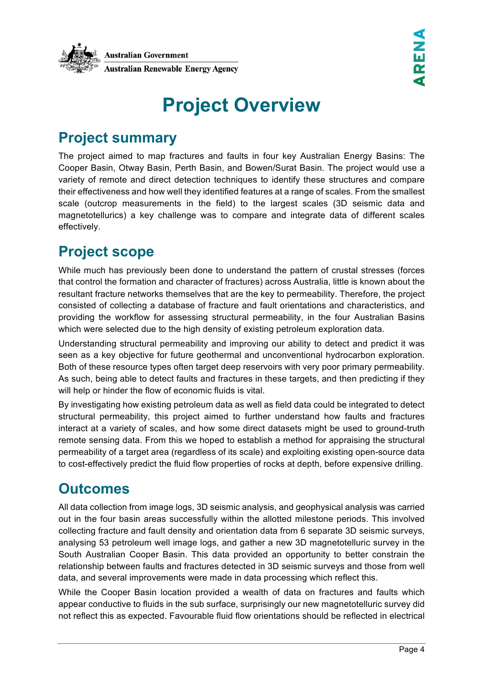

## **Project Overview**

#### **Project summary**

The project aimed to map fractures and faults in four key Australian Energy Basins: The Cooper Basin, Otway Basin, Perth Basin, and Bowen/Surat Basin. The project would use a variety of remote and direct detection techniques to identify these structures and compare their effectiveness and how well they identified features at a range of scales. From the smallest scale (outcrop measurements in the field) to the largest scales (3D seismic data and magnetotellurics) a key challenge was to compare and integrate data of different scales effectively.

#### **Project scope**

While much has previously been done to understand the pattern of crustal stresses (forces that control the formation and character of fractures) across Australia, little is known about the resultant fracture networks themselves that are the key to permeability. Therefore, the project consisted of collecting a database of fracture and fault orientations and characteristics, and providing the workflow for assessing structural permeability, in the four Australian Basins which were selected due to the high density of existing petroleum exploration data.

Understanding structural permeability and improving our ability to detect and predict it was seen as a key objective for future geothermal and unconventional hydrocarbon exploration. Both of these resource types often target deep reservoirs with very poor primary permeability. As such, being able to detect faults and fractures in these targets, and then predicting if they will help or hinder the flow of economic fluids is vital.

By investigating how existing petroleum data as well as field data could be integrated to detect structural permeability, this project aimed to further understand how faults and fractures interact at a variety of scales, and how some direct datasets might be used to ground-truth remote sensing data. From this we hoped to establish a method for appraising the structural permeability of a target area (regardless of its scale) and exploiting existing open-source data to cost-effectively predict the fluid flow properties of rocks at depth, before expensive drilling.

#### **Outcomes**

All data collection from image logs, 3D seismic analysis, and geophysical analysis was carried out in the four basin areas successfully within the allotted milestone periods. This involved collecting fracture and fault density and orientation data from 6 separate 3D seismic surveys, analysing 53 petroleum well image logs, and gather a new 3D magnetotelluric survey in the South Australian Cooper Basin. This data provided an opportunity to better constrain the relationship between faults and fractures detected in 3D seismic surveys and those from well data, and several improvements were made in data processing which reflect this.

While the Cooper Basin location provided a wealth of data on fractures and faults which appear conductive to fluids in the sub surface, surprisingly our new magnetotelluric survey did not reflect this as expected. Favourable fluid flow orientations should be reflected in electrical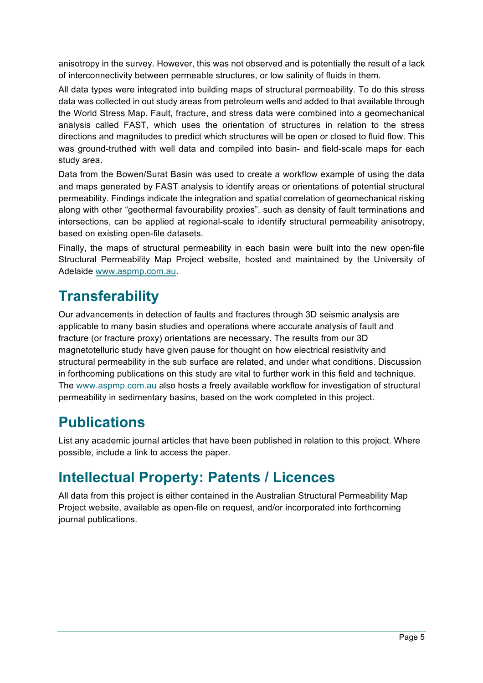anisotropy in the survey. However, this was not observed and is potentially the result of a lack of interconnectivity between permeable structures, or low salinity of fluids in them.

All data types were integrated into building maps of structural permeability. To do this stress data was collected in out study areas from petroleum wells and added to that available through the World Stress Map. Fault, fracture, and stress data were combined into a geomechanical analysis called FAST, which uses the orientation of structures in relation to the stress directions and magnitudes to predict which structures will be open or closed to fluid flow. This was ground-truthed with well data and compiled into basin- and field-scale maps for each study area.

Data from the Bowen/Surat Basin was used to create a workflow example of using the data and maps generated by FAST analysis to identify areas or orientations of potential structural permeability. Findings indicate the integration and spatial correlation of geomechanical risking along with other "geothermal favourability proxies", such as density of fault terminations and intersections, can be applied at regional-scale to identify structural permeability anisotropy, based on existing open-file datasets.

Finally, the maps of structural permeability in each basin were built into the new open-file Structural Permeability Map Project website, hosted and maintained by the University of Adelaide www.aspmp.com.au.

#### **Transferability**

Our advancements in detection of faults and fractures through 3D seismic analysis are applicable to many basin studies and operations where accurate analysis of fault and fracture (or fracture proxy) orientations are necessary. The results from our 3D magnetotelluric study have given pause for thought on how electrical resistivity and structural permeability in the sub surface are related, and under what conditions. Discussion in forthcoming publications on this study are vital to further work in this field and technique. The www.aspmp.com.au also hosts a freely available workflow for investigation of structural permeability in sedimentary basins, based on the work completed in this project.

#### **Publications**

List any academic journal articles that have been published in relation to this project. Where possible, include a link to access the paper.

#### **Intellectual Property: Patents / Licences**

All data from this project is either contained in the Australian Structural Permeability Map Project website, available as open-file on request, and/or incorporated into forthcoming journal publications.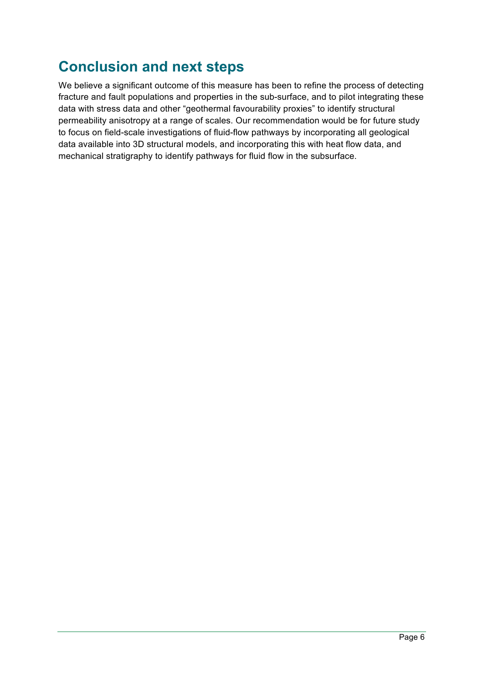#### **Conclusion and next steps**

We believe a significant outcome of this measure has been to refine the process of detecting fracture and fault populations and properties in the sub-surface, and to pilot integrating these data with stress data and other "geothermal favourability proxies" to identify structural permeability anisotropy at a range of scales. Our recommendation would be for future study to focus on field-scale investigations of fluid-flow pathways by incorporating all geological data available into 3D structural models, and incorporating this with heat flow data, and mechanical stratigraphy to identify pathways for fluid flow in the subsurface.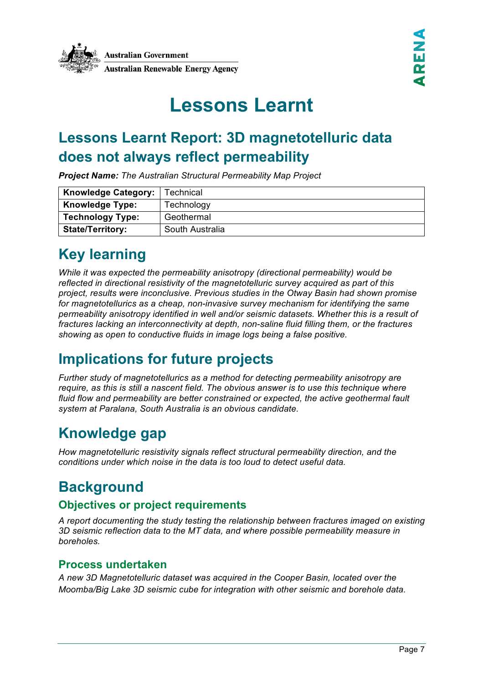

## **Lessons Learnt**

### **Lessons Learnt Report: 3D magnetotelluric data does not always reflect permeability**

*Project Name: The Australian Structural Permeability Map Project*

| <b>Knowledge Category:</b> | Technical       |
|----------------------------|-----------------|
| <b>Knowledge Type:</b>     | Technology      |
| <b>Technology Type:</b>    | Geothermal      |
| <b>State/Territory:</b>    | South Australia |

#### **Key learning**

*While it was expected the permeability anisotropy (directional permeability) would be reflected in directional resistivity of the magnetotelluric survey acquired as part of this project, results were inconclusive. Previous studies in the Otway Basin had shown promise for magnetotellurics as a cheap, non-invasive survey mechanism for identifying the same permeability anisotropy identified in well and/or seismic datasets. Whether this is a result of fractures lacking an interconnectivity at depth, non-saline fluid filling them, or the fractures showing as open to conductive fluids in image logs being a false positive.*

#### **Implications for future projects**

*Further study of magnetotellurics as a method for detecting permeability anisotropy are require, as this is still a nascent field. The obvious answer is to use this technique where fluid flow and permeability are better constrained or expected, the active geothermal fault system at Paralana, South Australia is an obvious candidate.* 

#### **Knowledge gap**

*How magnetotelluric resistivity signals reflect structural permeability direction, and the conditions under which noise in the data is too loud to detect useful data.* 

#### **Background**

#### **Objectives or project requirements**

*A report documenting the study testing the relationship between fractures imaged on existing 3D seismic reflection data to the MT data, and where possible permeability measure in boreholes.*

#### **Process undertaken**

*A new 3D Magnetotelluric dataset was acquired in the Cooper Basin, located over the Moomba/Big Lake 3D seismic cube for integration with other seismic and borehole data.*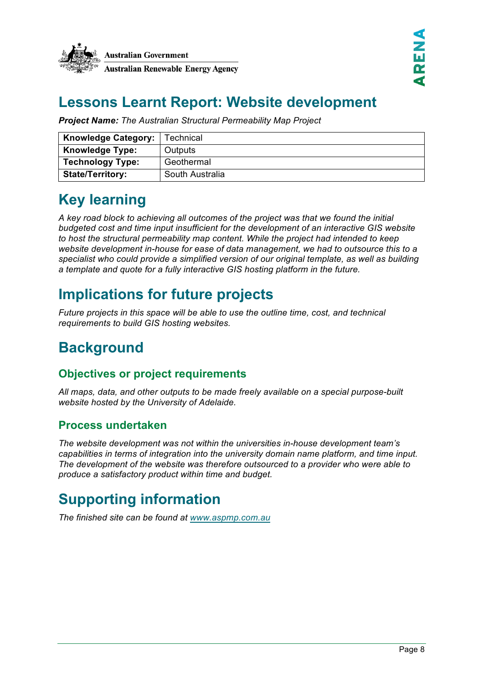

#### **Lessons Learnt Report: Website development**

*Project Name: The Australian Structural Permeability Map Project*

| <b>Knowledge Category:</b> | Technical       |
|----------------------------|-----------------|
| <b>Knowledge Type:</b>     | Outputs         |
| <b>Technology Type:</b>    | Geothermal      |
| <b>State/Territory:</b>    | South Australia |

#### **Key learning**

*A key road block to achieving all outcomes of the project was that we found the initial budgeted cost and time input insufficient for the development of an interactive GIS website to host the structural permeability map content. While the project had intended to keep website development in-house for ease of data management, we had to outsource this to a specialist who could provide a simplified version of our original template, as well as building a template and quote for a fully interactive GIS hosting platform in the future.* 

#### **Implications for future projects**

*Future projects in this space will be able to use the outline time, cost, and technical requirements to build GIS hosting websites.*

#### **Background**

#### **Objectives or project requirements**

*All maps, data, and other outputs to be made freely available on a special purpose-built website hosted by the University of Adelaide.*

#### **Process undertaken**

*The website development was not within the universities in-house development team's capabilities in terms of integration into the university domain name platform, and time input. The development of the website was therefore outsourced to a provider who were able to produce a satisfactory product within time and budget.* 

### **Supporting information**

*The finished site can be found at www.aspmp.com.au*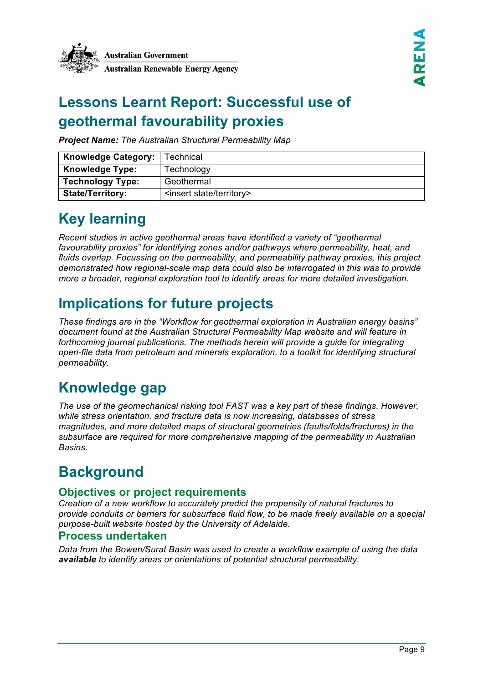### **Lessons Learnt Report: Successful use of geothermal favourability proxies**

*Project Name: The Australian Structural Permeability Map*

| <b>Knowledge Category:</b> | ГесһnісаI                               |
|----------------------------|-----------------------------------------|
| <b>Knowledge Type:</b>     | Technology                              |
| <b>Technology Type:</b>    | Geothermal                              |
| <b>State/Territory:</b>    | <insert state="" territory=""></insert> |

### **Key learning**

*Recent studies in active geothermal areas have identified a variety of "geothermal favourability proxies" for identifying zones and/or pathways where permeability, heat, and fluids overlap. Focussing on the permeability, and permeability pathway proxies, this project demonstrated how regional-scale map data could also be interrogated in this was to provide more a broader, regional exploration tool to identify areas for more detailed investigation.* 

### **Implications for future projects**

*These findings are in the "Workflow for geothermal exploration in Australian energy basins" document found at the Australian Structural Permeability Map website and will feature in forthcoming journal publications. The methods herein will provide a guide for integrating open-file data from petroleum and minerals exploration, to a toolkit for identifying structural permeability.* 

#### **Knowledge gap**

*The use of the geomechanical risking tool FAST was a key part of these findings. However, while stress orientation, and fracture data is now increasing, databases of stress magnitudes, and more detailed maps of structural geometries (faults/folds/fractures) in the subsurface are required for more comprehensive mapping of the permeability in Australian Basins.* 

### **Background**

#### **Objectives or project requirements**

*Creation of a new workflow to accurately predict the propensity of natural fractures to provide conduits or barriers for subsurface fluid flow, to be made freely available on a special purpose-built website hosted by the University of Adelaide.*

#### **Process undertaken**

*Data from the Bowen/Surat Basin was used to create a workflow example of using the data available to identify areas or orientations of potential structural permeability.*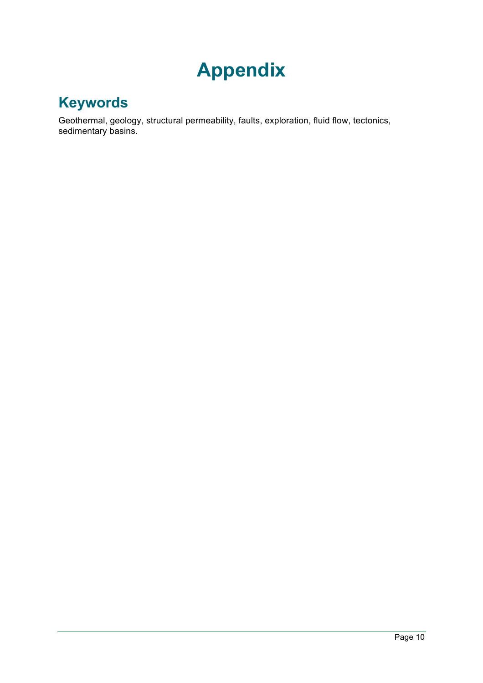## **Appendix**

#### **Keywords**

Geothermal, geology, structural permeability, faults, exploration, fluid flow, tectonics, sedimentary basins.